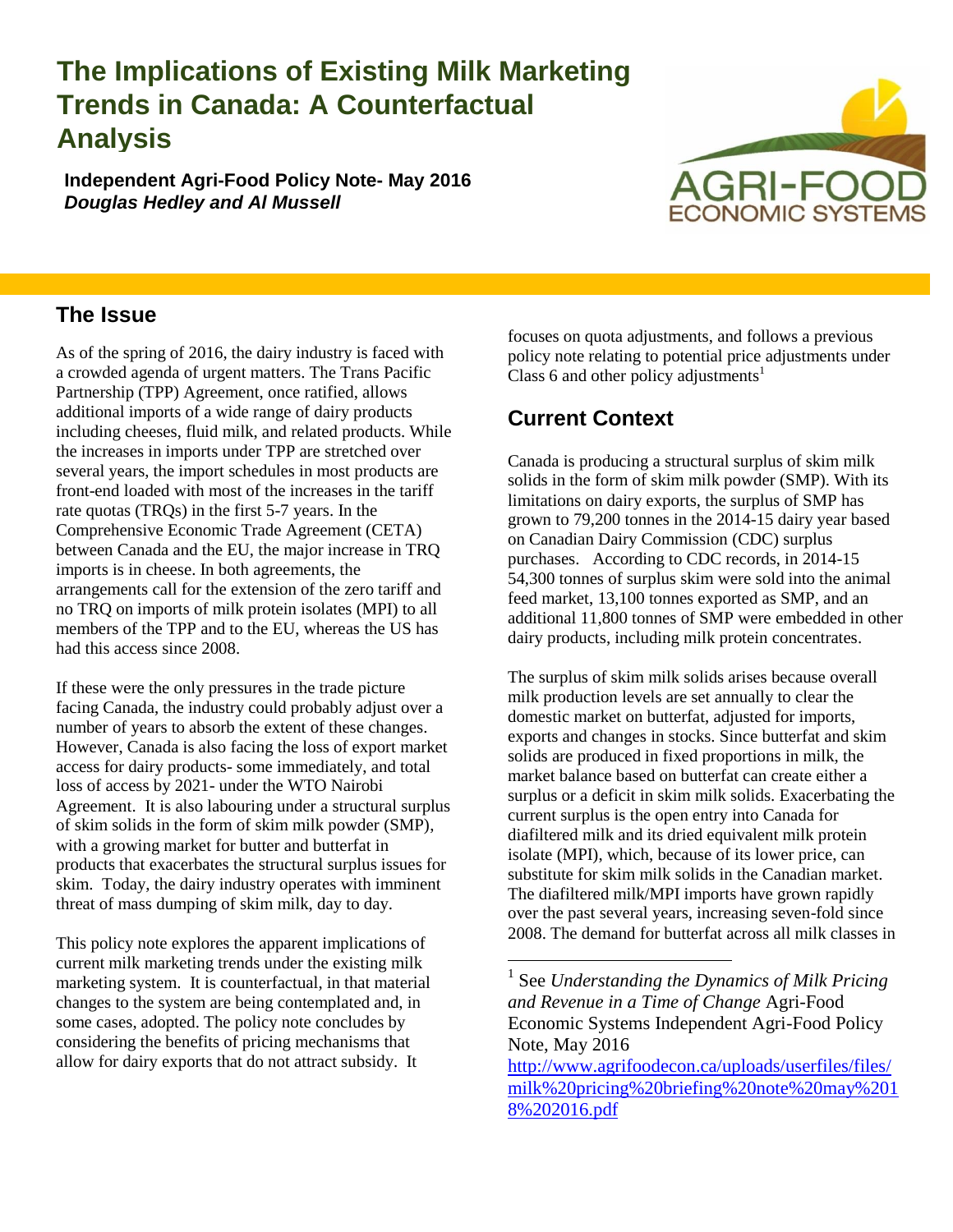# **The Implications of Existing Milk Marketing Trends in Canada: A Counterfactual Analysis**

**Independent Agri-Food Policy Note- May 2016** *Douglas Hedley and Al Mussell*



#### **The Issue**

As of the spring of 2016, the dairy industry is faced with a crowded agenda of urgent matters. The Trans Pacific Partnership (TPP) Agreement, once ratified, allows additional imports of a wide range of dairy products including cheeses, fluid milk, and related products. While the increases in imports under TPP are stretched over several years, the import schedules in most products are front-end loaded with most of the increases in the tariff rate quotas (TRQs) in the first 5-7 years. In the Comprehensive Economic Trade Agreement (CETA) between Canada and the EU, the major increase in TRQ imports is in cheese. In both agreements, the arrangements call for the extension of the zero tariff and no TRQ on imports of milk protein isolates (MPI) to all members of the TPP and to the EU, whereas the US has had this access since 2008.

If these were the only pressures in the trade picture facing Canada, the industry could probably adjust over a number of years to absorb the extent of these changes. However, Canada is also facing the loss of export market access for dairy products- some immediately, and total loss of access by 2021- under the WTO Nairobi Agreement. It is also labouring under a structural surplus of skim solids in the form of skim milk powder (SMP), with a growing market for butter and butterfat in products that exacerbates the structural surplus issues for skim. Today, the dairy industry operates with imminent threat of mass dumping of skim milk, day to day.

This policy note explores the apparent implications of current milk marketing trends under the existing milk marketing system. It is counterfactual, in that material changes to the system are being contemplated and, in some cases, adopted. The policy note concludes by considering the benefits of pricing mechanisms that allow for dairy exports that do not attract subsidy. It

focuses on quota adjustments, and follows a previous policy note relating to potential price adjustments under Class 6 and other policy adjustments<sup>1</sup>

# **Current Context**

 $\overline{a}$ 

Canada is producing a structural surplus of skim milk solids in the form of skim milk powder (SMP). With its limitations on dairy exports, the surplus of SMP has grown to 79,200 tonnes in the 2014-15 dairy year based on Canadian Dairy Commission (CDC) surplus purchases. According to CDC records, in 2014-15 54,300 tonnes of surplus skim were sold into the animal feed market, 13,100 tonnes exported as SMP, and an additional 11,800 tonnes of SMP were embedded in other dairy products, including milk protein concentrates.

The surplus of skim milk solids arises because overall milk production levels are set annually to clear the domestic market on butterfat, adjusted for imports, exports and changes in stocks. Since butterfat and skim solids are produced in fixed proportions in milk, the market balance based on butterfat can create either a surplus or a deficit in skim milk solids. Exacerbating the current surplus is the open entry into Canada for diafiltered milk and its dried equivalent milk protein isolate (MPI), which, because of its lower price, can substitute for skim milk solids in the Canadian market. The diafiltered milk/MPI imports have grown rapidly over the past several years, increasing seven-fold since 2008. The demand for butterfat across all milk classes in

<sup>1</sup> See *Understanding the Dynamics of Milk Pricing and Revenue in a Time of Change* Agri-Food Economic Systems Independent Agri-Food Policy Note, May 2016

[http://www.agrifoodecon.ca/uploads/userfiles/files/](http://www.agrifoodecon.ca/uploads/userfiles/files/milk%20pricing%20briefing%20note%20may%2018%202016.pdf) [milk%20pricing%20briefing%20note%20may%201](http://www.agrifoodecon.ca/uploads/userfiles/files/milk%20pricing%20briefing%20note%20may%2018%202016.pdf) [8%202016.pdf](http://www.agrifoodecon.ca/uploads/userfiles/files/milk%20pricing%20briefing%20note%20may%2018%202016.pdf)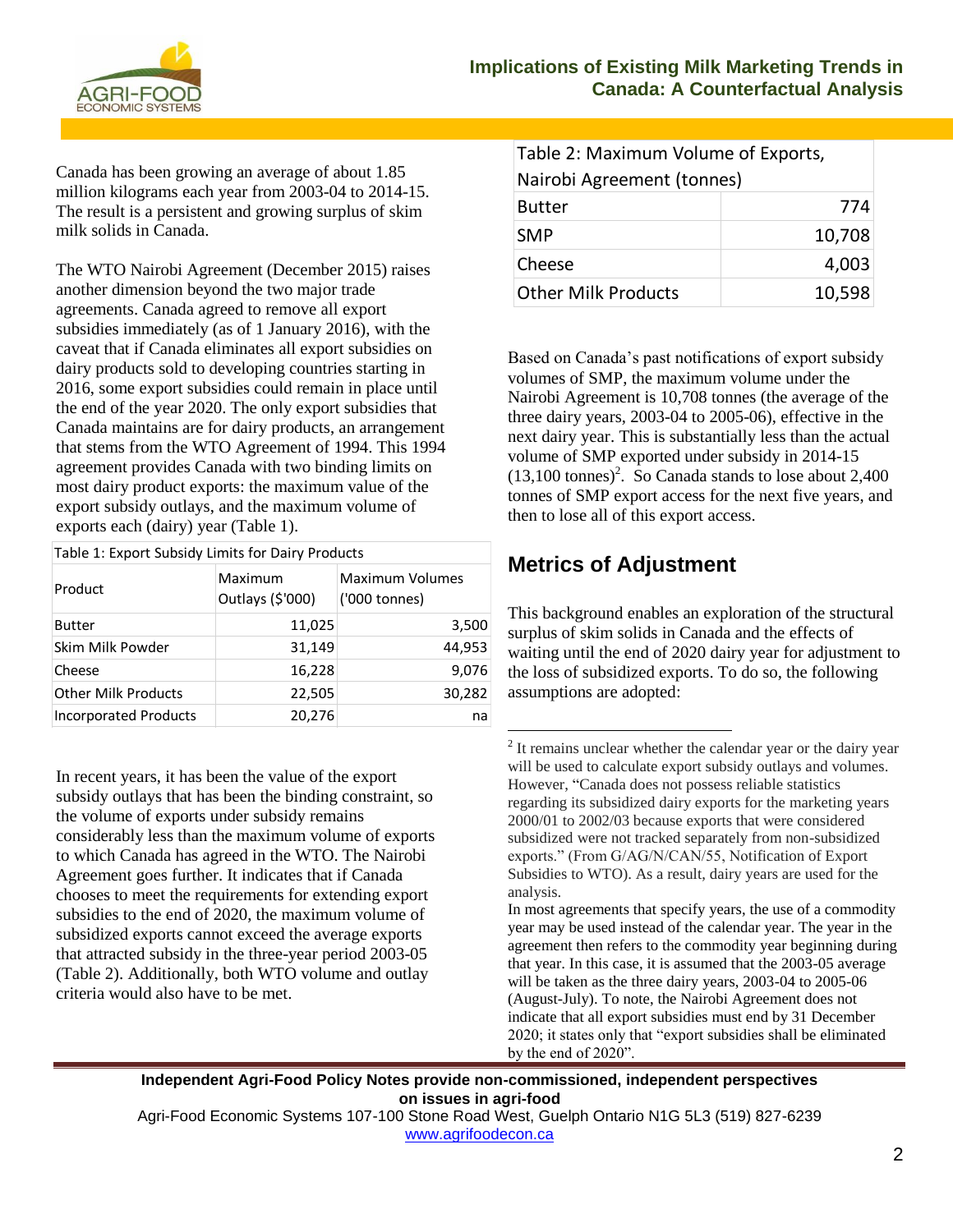

Canada has been growing an average of about 1.85 million kilograms each year from 2003-04 to 2014-15. The result is a persistent and growing surplus of skim milk solids in Canada.

The WTO Nairobi Agreement (December 2015) raises another dimension beyond the two major trade agreements. Canada agreed to remove all export subsidies immediately (as of 1 January 2016), with the caveat that if Canada eliminates all export subsidies on dairy products sold to developing countries starting in 2016, some export subsidies could remain in place until the end of the year 2020. The only export subsidies that Canada maintains are for dairy products, an arrangement that stems from the WTO Agreement of 1994. This 1994 agreement provides Canada with two binding limits on most dairy product exports: the maximum value of the export subsidy outlays, and the maximum volume of exports each (dairy) year (Table 1).

| Table 1: Export Subsidy Limits for Dairy Products |                             |                                         |  |  |
|---------------------------------------------------|-----------------------------|-----------------------------------------|--|--|
| Product                                           | Maximum<br>Outlays (\$'000) | <b>Maximum Volumes</b><br>('000 tonnes) |  |  |
| <b>Butter</b>                                     | 11,025                      | 3,500                                   |  |  |
| Skim Milk Powder                                  | 31,149                      | 44,953                                  |  |  |
| Cheese                                            | 16,228                      | 9,076                                   |  |  |
| <b>Other Milk Products</b>                        | 22,505                      | 30,282                                  |  |  |
| <b>Incorporated Products</b>                      | 20,276                      | na                                      |  |  |

In recent years, it has been the value of the export subsidy outlays that has been the binding constraint, so the volume of exports under subsidy remains considerably less than the maximum volume of exports to which Canada has agreed in the WTO. The Nairobi Agreement goes further. It indicates that if Canada chooses to meet the requirements for extending export subsidies to the end of 2020, the maximum volume of subsidized exports cannot exceed the average exports that attracted subsidy in the three-year period 2003-05 (Table 2). Additionally, both WTO volume and outlay criteria would also have to be met.

| Table 2: Maximum Volume of Exports, |        |  |  |  |
|-------------------------------------|--------|--|--|--|
| Nairobi Agreement (tonnes)          |        |  |  |  |
| 774<br><b>Butter</b>                |        |  |  |  |
| <b>SMP</b>                          | 10,708 |  |  |  |
| Cheese                              | 4,003  |  |  |  |
| <b>Other Milk Products</b>          | 10,598 |  |  |  |

Based on Canada's past notifications of export subsidy volumes of SMP, the maximum volume under the Nairobi Agreement is 10,708 tonnes (the average of the three dairy years, 2003-04 to 2005-06), effective in the next dairy year. This is substantially less than the actual volume of SMP exported under subsidy in 2014-15  $(13,100 \text{ tonnes})^2$ . So Canada stands to lose about 2,400 tonnes of SMP export access for the next five years, and then to lose all of this export access.

## **Metrics of Adjustment**

This background enables an exploration of the structural surplus of skim solids in Canada and the effects of waiting until the end of 2020 dairy year for adjustment to the loss of subsidized exports. To do so, the following assumptions are adopted:

<sup>2</sup> It remains unclear whether the calendar year or the dairy year will be used to calculate export subsidy outlays and volumes. However, "Canada does not possess reliable statistics regarding its subsidized dairy exports for the marketing years 2000/01 to 2002/03 because exports that were considered subsidized were not tracked separately from non-subsidized exports." (From G/AG/N/CAN/55, Notification of Export Subsidies to WTO). As a result, dairy years are used for the analysis.

In most agreements that specify years, the use of a commodity year may be used instead of the calendar year. The year in the agreement then refers to the commodity year beginning during that year. In this case, it is assumed that the 2003-05 average will be taken as the three dairy years, 2003-04 to 2005-06 (August-July). To note, the Nairobi Agreement does not indicate that all export subsidies must end by 31 December 2020; it states only that "export subsidies shall be eliminated by the end of 2020".

**Independent Agri-Food Policy Notes provide non-commissioned, independent perspectives on issues in agri-food**

 $\overline{a}$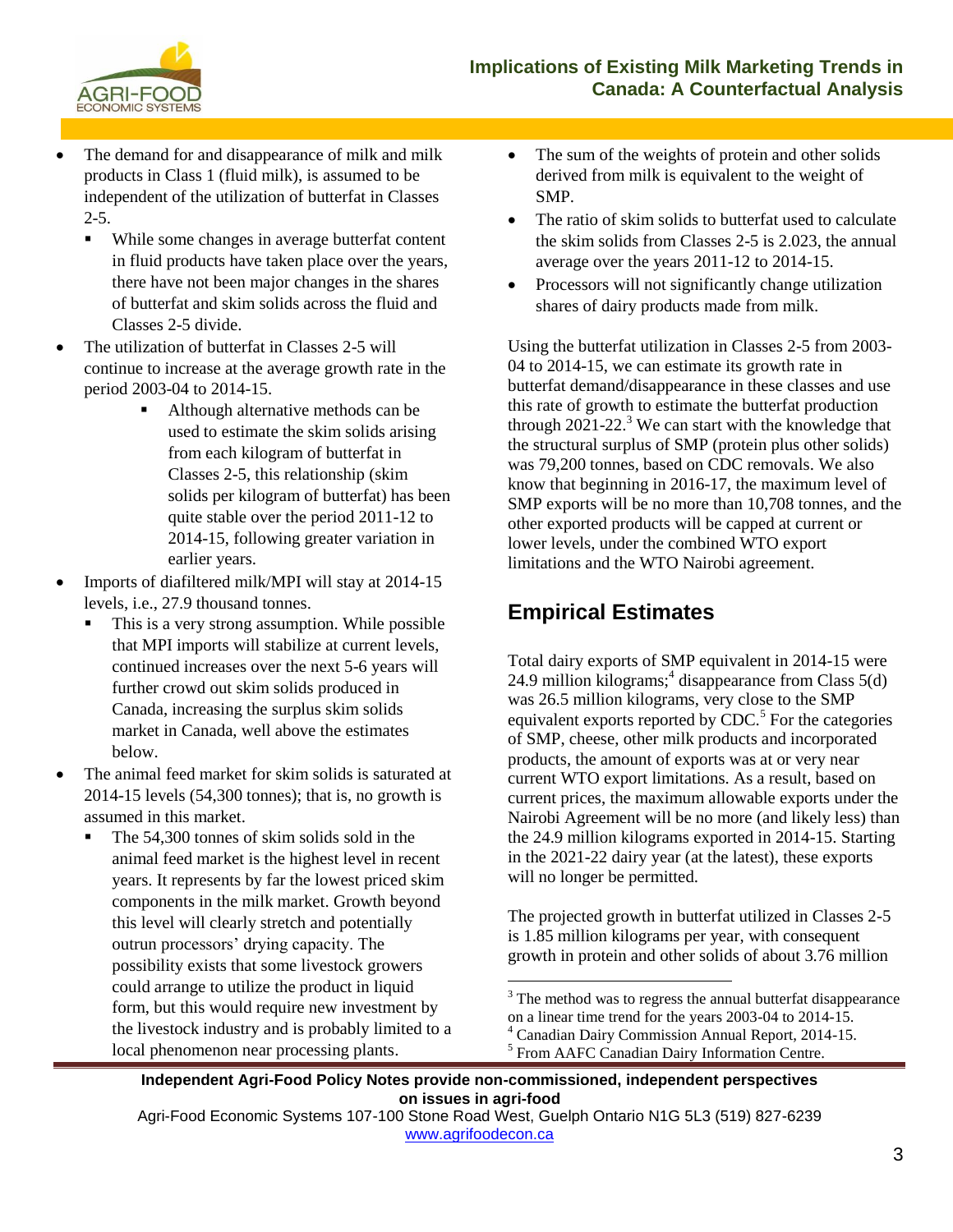

- The demand for and disappearance of milk and milk products in Class 1 (fluid milk), is assumed to be independent of the utilization of butterfat in Classes  $2 - 5$ .
	- While some changes in average butterfat content in fluid products have taken place over the years, there have not been major changes in the shares of butterfat and skim solids across the fluid and Classes 2-5 divide.
- The utilization of butterfat in Classes 2-5 will continue to increase at the average growth rate in the period 2003-04 to 2014-15.
	- Although alternative methods can be used to estimate the skim solids arising from each kilogram of butterfat in Classes 2-5, this relationship (skim solids per kilogram of butterfat) has been quite stable over the period 2011-12 to 2014-15, following greater variation in earlier years.
- Imports of diafiltered milk/MPI will stay at 2014-15 levels, i.e., 27.9 thousand tonnes.
	- This is a very strong assumption. While possible that MPI imports will stabilize at current levels, continued increases over the next 5-6 years will further crowd out skim solids produced in Canada, increasing the surplus skim solids market in Canada, well above the estimates below.
- The animal feed market for skim solids is saturated at 2014-15 levels (54,300 tonnes); that is, no growth is assumed in this market.
	- The 54,300 tonnes of skim solids sold in the animal feed market is the highest level in recent years. It represents by far the lowest priced skim components in the milk market. Growth beyond this level will clearly stretch and potentially outrun processors' drying capacity. The possibility exists that some livestock growers could arrange to utilize the product in liquid form, but this would require new investment by the livestock industry and is probably limited to a local phenomenon near processing plants.
- The sum of the weights of protein and other solids derived from milk is equivalent to the weight of SMP.
- The ratio of skim solids to butterfat used to calculate the skim solids from Classes 2-5 is 2.023, the annual average over the years 2011-12 to 2014-15.
- Processors will not significantly change utilization shares of dairy products made from milk.

Using the butterfat utilization in Classes 2-5 from 2003- 04 to 2014-15, we can estimate its growth rate in butterfat demand/disappearance in these classes and use this rate of growth to estimate the butterfat production through  $2021-22$ <sup>3</sup> We can start with the knowledge that the structural surplus of SMP (protein plus other solids) was 79,200 tonnes, based on CDC removals. We also know that beginning in 2016-17, the maximum level of SMP exports will be no more than 10,708 tonnes, and the other exported products will be capped at current or lower levels, under the combined WTO export limitations and the WTO Nairobi agreement.

#### **Empirical Estimates**

Total dairy exports of SMP equivalent in 2014-15 were  $24.9$  million kilograms;<sup>4</sup> disappearance from Class  $5(d)$ was 26.5 million kilograms, very close to the SMP equivalent exports reported by CDC.<sup>5</sup> For the categories of SMP, cheese, other milk products and incorporated products, the amount of exports was at or very near current WTO export limitations. As a result, based on current prices, the maximum allowable exports under the Nairobi Agreement will be no more (and likely less) than the 24.9 million kilograms exported in 2014-15. Starting in the 2021-22 dairy year (at the latest), these exports will no longer be permitted.

The projected growth in butterfat utilized in Classes 2-5 is 1.85 million kilograms per year, with consequent growth in protein and other solids of about 3.76 million

**Independent Agri-Food Policy Notes provide non-commissioned, independent perspectives on issues in agri-food**

 $\overline{a}$ 

 $3$  The method was to regress the annual butterfat disappearance on a linear time trend for the years 2003-04 to 2014-15.

<sup>4</sup> Canadian Dairy Commission Annual Report, 2014-15.

<sup>&</sup>lt;sup>5</sup> From AAFC Canadian Dairy Information Centre.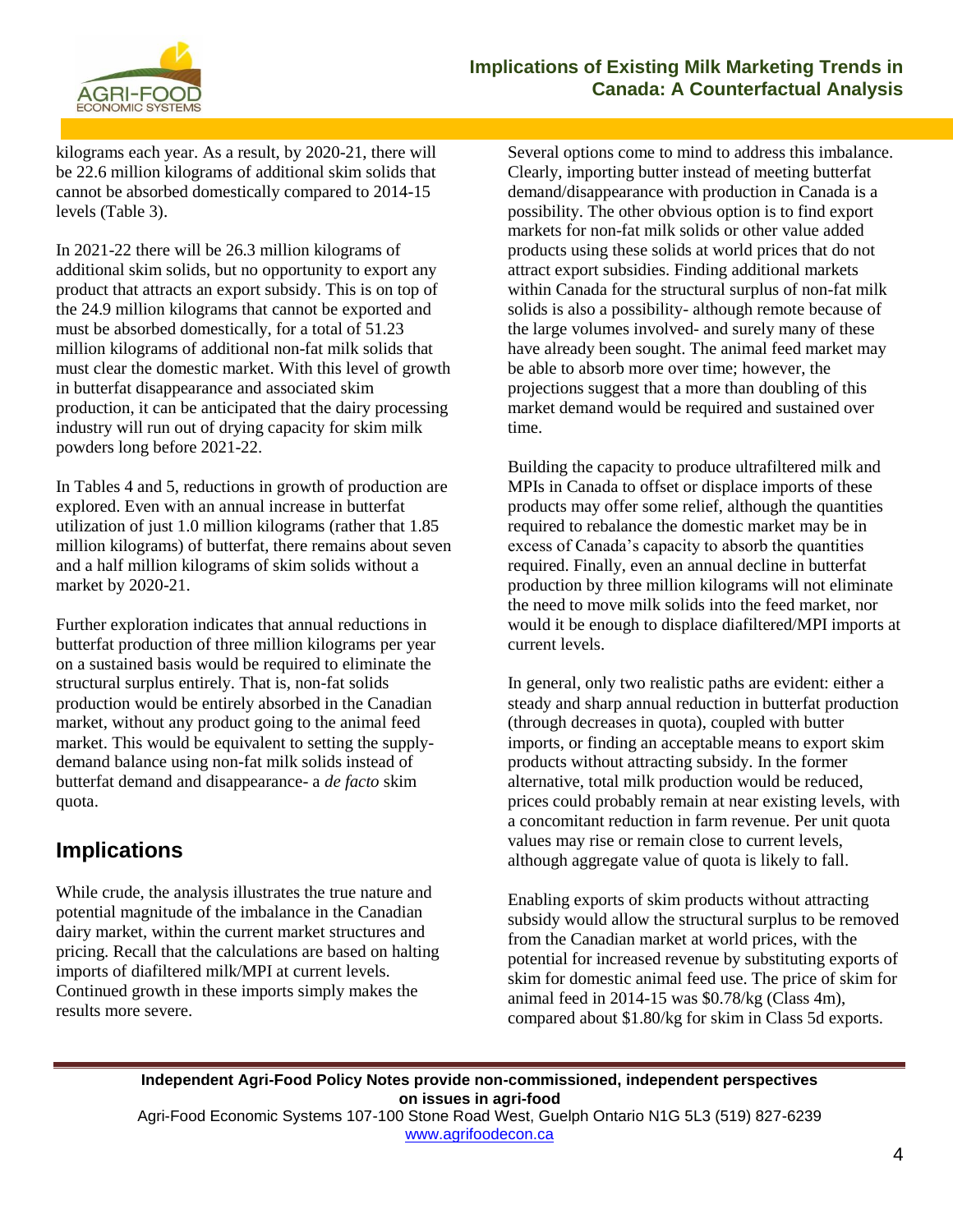

kilograms each year. As a result, by 2020-21, there will be 22.6 million kilograms of additional skim solids that cannot be absorbed domestically compared to 2014-15 levels (Table 3).

In 2021-22 there will be 26.3 million kilograms of additional skim solids, but no opportunity to export any product that attracts an export subsidy. This is on top of the 24.9 million kilograms that cannot be exported and must be absorbed domestically, for a total of 51.23 million kilograms of additional non-fat milk solids that must clear the domestic market. With this level of growth in butterfat disappearance and associated skim production, it can be anticipated that the dairy processing industry will run out of drying capacity for skim milk powders long before 2021-22.

In Tables 4 and 5, reductions in growth of production are explored. Even with an annual increase in butterfat utilization of just 1.0 million kilograms (rather that 1.85 million kilograms) of butterfat, there remains about seven and a half million kilograms of skim solids without a market by 2020-21.

Further exploration indicates that annual reductions in butterfat production of three million kilograms per year on a sustained basis would be required to eliminate the structural surplus entirely. That is, non-fat solids production would be entirely absorbed in the Canadian market, without any product going to the animal feed market. This would be equivalent to setting the supplydemand balance using non-fat milk solids instead of butterfat demand and disappearance- a *de facto* skim quota.

#### **Implications**

While crude, the analysis illustrates the true nature and potential magnitude of the imbalance in the Canadian dairy market, within the current market structures and pricing. Recall that the calculations are based on halting imports of diafiltered milk/MPI at current levels. Continued growth in these imports simply makes the results more severe.

Several options come to mind to address this imbalance. Clearly, importing butter instead of meeting butterfat demand/disappearance with production in Canada is a possibility. The other obvious option is to find export markets for non-fat milk solids or other value added products using these solids at world prices that do not attract export subsidies. Finding additional markets within Canada for the structural surplus of non-fat milk solids is also a possibility- although remote because of the large volumes involved- and surely many of these have already been sought. The animal feed market may be able to absorb more over time; however, the projections suggest that a more than doubling of this market demand would be required and sustained over time.

Building the capacity to produce ultrafiltered milk and MPIs in Canada to offset or displace imports of these products may offer some relief, although the quantities required to rebalance the domestic market may be in excess of Canada's capacity to absorb the quantities required. Finally, even an annual decline in butterfat production by three million kilograms will not eliminate the need to move milk solids into the feed market, nor would it be enough to displace diafiltered/MPI imports at current levels.

In general, only two realistic paths are evident: either a steady and sharp annual reduction in butterfat production (through decreases in quota), coupled with butter imports, or finding an acceptable means to export skim products without attracting subsidy. In the former alternative, total milk production would be reduced, prices could probably remain at near existing levels, with a concomitant reduction in farm revenue. Per unit quota values may rise or remain close to current levels, although aggregate value of quota is likely to fall.

Enabling exports of skim products without attracting subsidy would allow the structural surplus to be removed from the Canadian market at world prices, with the potential for increased revenue by substituting exports of skim for domestic animal feed use. The price of skim for animal feed in 2014-15 was \$0.78/kg (Class 4m), compared about \$1.80/kg for skim in Class 5d exports.

**Independent Agri-Food Policy Notes provide non-commissioned, independent perspectives on issues in agri-food** Agri-Food Economic Systems 107-100 Stone Road West, Guelph Ontario N1G 5L3 (519) 827-6239 [www.agrifoodecon.ca](http://www.agrifoodecon.ca/)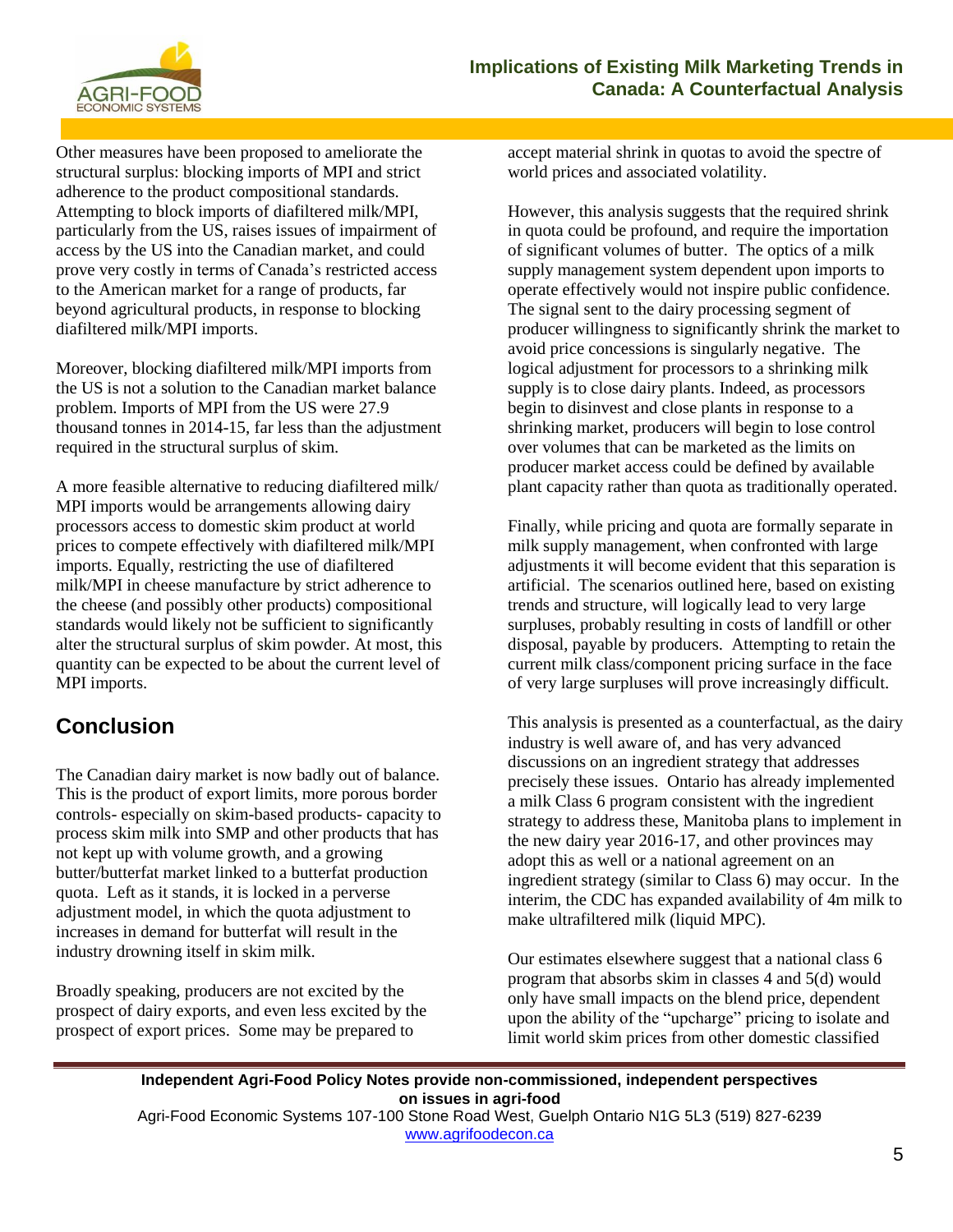

Other measures have been proposed to ameliorate the structural surplus: blocking imports of MPI and strict adherence to the product compositional standards. Attempting to block imports of diafiltered milk/MPI, particularly from the US, raises issues of impairment of access by the US into the Canadian market, and could prove very costly in terms of Canada's restricted access to the American market for a range of products, far beyond agricultural products, in response to blocking diafiltered milk/MPI imports.

Moreover, blocking diafiltered milk/MPI imports from the US is not a solution to the Canadian market balance problem. Imports of MPI from the US were 27.9 thousand tonnes in 2014-15, far less than the adjustment required in the structural surplus of skim.

A more feasible alternative to reducing diafiltered milk/ MPI imports would be arrangements allowing dairy processors access to domestic skim product at world prices to compete effectively with diafiltered milk/MPI imports. Equally, restricting the use of diafiltered milk/MPI in cheese manufacture by strict adherence to the cheese (and possibly other products) compositional standards would likely not be sufficient to significantly alter the structural surplus of skim powder. At most, this quantity can be expected to be about the current level of MPI imports.

# **Conclusion**

The Canadian dairy market is now badly out of balance. This is the product of export limits, more porous border controls- especially on skim-based products- capacity to process skim milk into SMP and other products that has not kept up with volume growth, and a growing butter/butterfat market linked to a butterfat production quota. Left as it stands, it is locked in a perverse adjustment model, in which the quota adjustment to increases in demand for butterfat will result in the industry drowning itself in skim milk.

Broadly speaking, producers are not excited by the prospect of dairy exports, and even less excited by the prospect of export prices. Some may be prepared to

accept material shrink in quotas to avoid the spectre of world prices and associated volatility.

However, this analysis suggests that the required shrink in quota could be profound, and require the importation of significant volumes of butter. The optics of a milk supply management system dependent upon imports to operate effectively would not inspire public confidence. The signal sent to the dairy processing segment of producer willingness to significantly shrink the market to avoid price concessions is singularly negative. The logical adjustment for processors to a shrinking milk supply is to close dairy plants. Indeed, as processors begin to disinvest and close plants in response to a shrinking market, producers will begin to lose control over volumes that can be marketed as the limits on producer market access could be defined by available plant capacity rather than quota as traditionally operated.

Finally, while pricing and quota are formally separate in milk supply management, when confronted with large adjustments it will become evident that this separation is artificial. The scenarios outlined here, based on existing trends and structure, will logically lead to very large surpluses, probably resulting in costs of landfill or other disposal, payable by producers. Attempting to retain the current milk class/component pricing surface in the face of very large surpluses will prove increasingly difficult.

This analysis is presented as a counterfactual, as the dairy industry is well aware of, and has very advanced discussions on an ingredient strategy that addresses precisely these issues. Ontario has already implemented a milk Class 6 program consistent with the ingredient strategy to address these, Manitoba plans to implement in the new dairy year 2016-17, and other provinces may adopt this as well or a national agreement on an ingredient strategy (similar to Class 6) may occur. In the interim, the CDC has expanded availability of 4m milk to make ultrafiltered milk (liquid MPC).

Our estimates elsewhere suggest that a national class 6 program that absorbs skim in classes 4 and 5(d) would only have small impacts on the blend price, dependent upon the ability of the "upcharge" pricing to isolate and limit world skim prices from other domestic classified

**Independent Agri-Food Policy Notes provide non-commissioned, independent perspectives on issues in agri-food**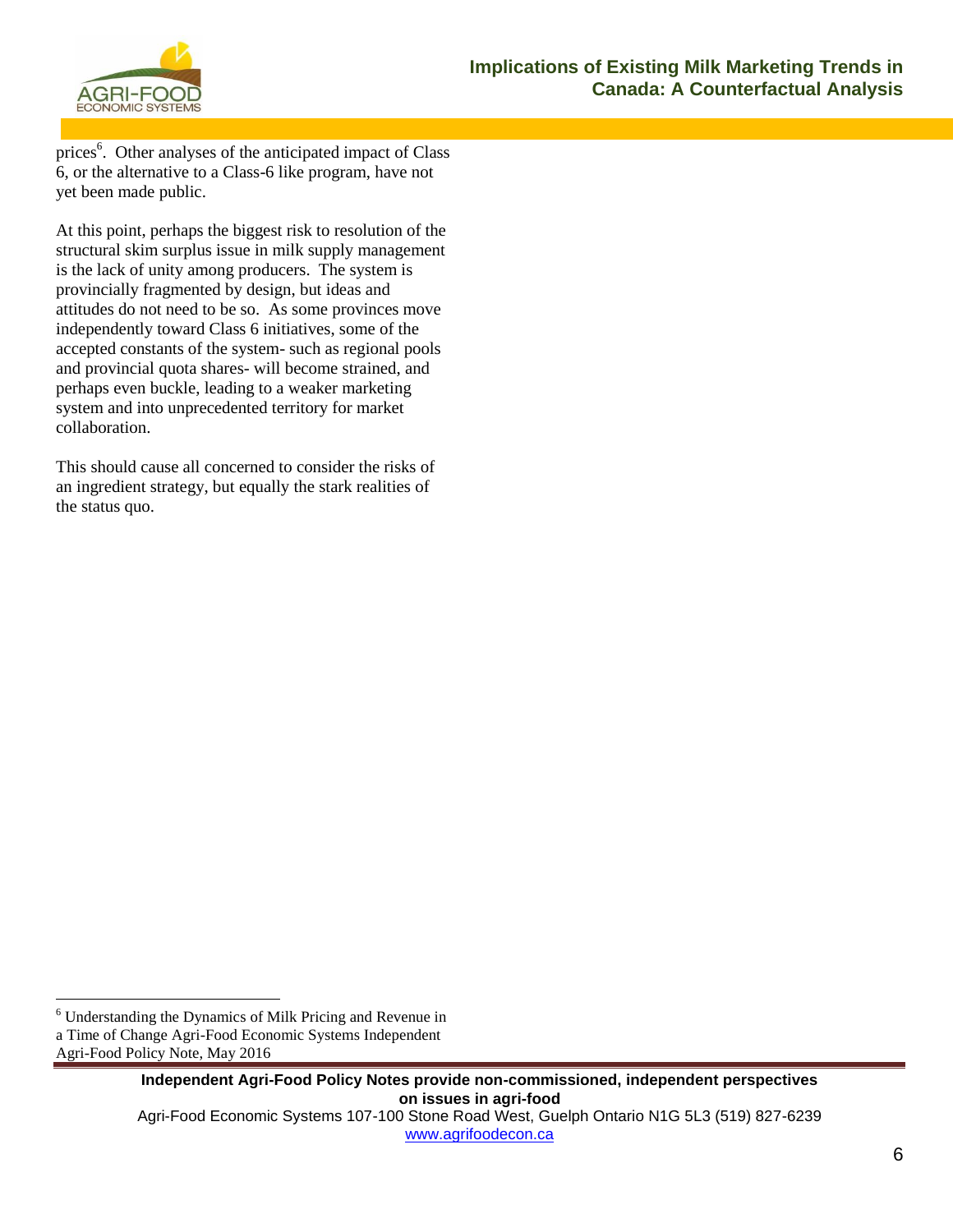

prices<sup>6</sup>. Other analyses of the anticipated impact of Class 6, or the alternative to a Class-6 like program, have not yet been made public.

At this point, perhaps the biggest risk to resolution of the structural skim surplus issue in milk supply management is the lack of unity among producers. The system is provincially fragmented by design, but ideas and attitudes do not need to be so. As some provinces move independently toward Class 6 initiatives, some of the accepted constants of the system- such as regional pools and provincial quota shares- will become strained, and perhaps even buckle, leading to a weaker marketing system and into unprecedented territory for market collaboration.

This should cause all concerned to consider the risks of an ingredient strategy, but equally the stark realities of the status quo.

 $\overline{a}$ <sup>6</sup> Understanding the Dynamics of Milk Pricing and Revenue in

a Time of Change Agri-Food Economic Systems Independent

Agri-Food Policy Note, May 2016

**Independent Agri-Food Policy Notes provide non-commissioned, independent perspectives on issues in agri-food** Agri-Food Economic Systems 107-100 Stone Road West, Guelph Ontario N1G 5L3 (519) 827-6239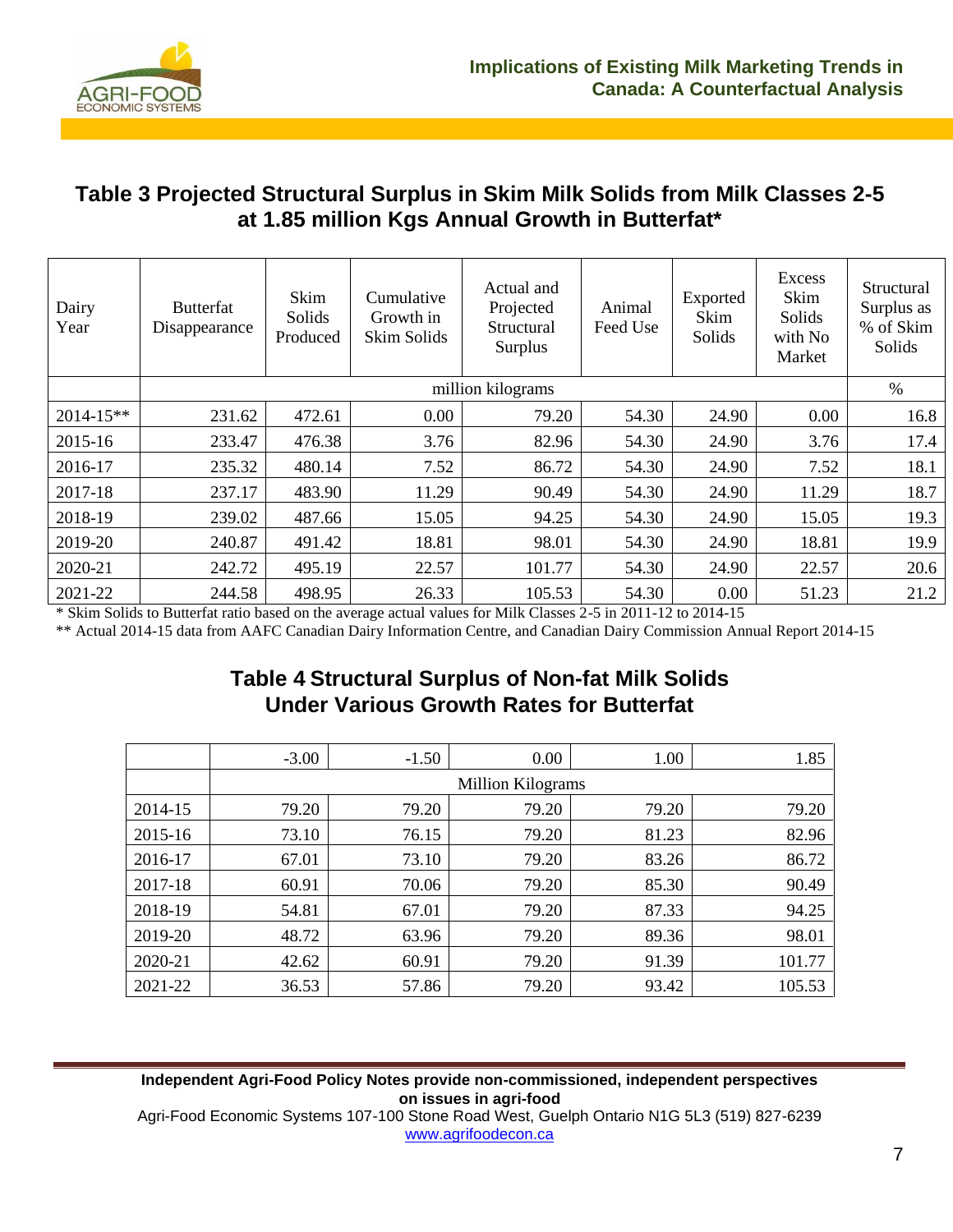

#### **Table 3 Projected Structural Surplus in Skim Milk Solids from Milk Classes 2-5 at 1.85 million Kgs Annual Growth in Butterfat\***

| Dairy<br>Year | <b>Butterfat</b><br>Disappearance | Skim<br>Solids<br>Produced | Cumulative<br>Growth in<br>Skim Solids | Actual and<br>Projected<br>Structural<br>Surplus | Animal<br>Feed Use | Exported<br>Skim<br>Solids | Excess<br>Skim<br>Solids<br>with No<br>Market | Structural<br>Surplus as<br>% of Skim<br>Solids |
|---------------|-----------------------------------|----------------------------|----------------------------------------|--------------------------------------------------|--------------------|----------------------------|-----------------------------------------------|-------------------------------------------------|
|               |                                   |                            |                                        | million kilograms                                |                    |                            |                                               | $\%$                                            |
| $2014 - 15**$ | 231.62                            | 472.61                     | 0.00                                   | 79.20                                            | 54.30              | 24.90                      | 0.00                                          | 16.8                                            |
| 2015-16       | 233.47                            | 476.38                     | 3.76                                   | 82.96                                            | 54.30              | 24.90                      | 3.76                                          | 17.4                                            |
| 2016-17       | 235.32                            | 480.14                     | 7.52                                   | 86.72                                            | 54.30              | 24.90                      | 7.52                                          | 18.1                                            |
| 2017-18       | 237.17                            | 483.90                     | 11.29                                  | 90.49                                            | 54.30              | 24.90                      | 11.29                                         | 18.7                                            |
| 2018-19       | 239.02                            | 487.66                     | 15.05                                  | 94.25                                            | 54.30              | 24.90                      | 15.05                                         | 19.3                                            |
| 2019-20       | 240.87                            | 491.42                     | 18.81                                  | 98.01                                            | 54.30              | 24.90                      | 18.81                                         | 19.9                                            |
| 2020-21       | 242.72                            | 495.19                     | 22.57                                  | 101.77                                           | 54.30              | 24.90                      | 22.57                                         | 20.6                                            |
| 2021-22       | 244.58                            | 498.95                     | 26.33                                  | 105.53                                           | 54.30              | 0.00                       | 51.23                                         | 21.2                                            |

\* Skim Solids to Butterfat ratio based on the average actual values for Milk Classes 2-5 in 2011-12 to 2014-15

\*\* Actual 2014-15 data from AAFC Canadian Dairy Information Centre, and Canadian Dairy Commission Annual Report 2014-15

## **Table 4 Structural Surplus of Non-fat Milk Solids Under Various Growth Rates for Butterfat**

|         | $-3.00$ | $-1.50$                  | 0.00  | 1.00  | 1.85   |  |  |
|---------|---------|--------------------------|-------|-------|--------|--|--|
|         |         | <b>Million Kilograms</b> |       |       |        |  |  |
| 2014-15 | 79.20   | 79.20                    | 79.20 | 79.20 | 79.20  |  |  |
| 2015-16 | 73.10   | 76.15                    | 79.20 | 81.23 | 82.96  |  |  |
| 2016-17 | 67.01   | 73.10                    | 79.20 | 83.26 | 86.72  |  |  |
| 2017-18 | 60.91   | 70.06                    | 79.20 | 85.30 | 90.49  |  |  |
| 2018-19 | 54.81   | 67.01                    | 79.20 | 87.33 | 94.25  |  |  |
| 2019-20 | 48.72   | 63.96                    | 79.20 | 89.36 | 98.01  |  |  |
| 2020-21 | 42.62   | 60.91                    | 79.20 | 91.39 | 101.77 |  |  |
| 2021-22 | 36.53   | 57.86                    | 79.20 | 93.42 | 105.53 |  |  |

#### **Independent Agri-Food Policy Notes provide non-commissioned, independent perspectives on issues in agri-food**